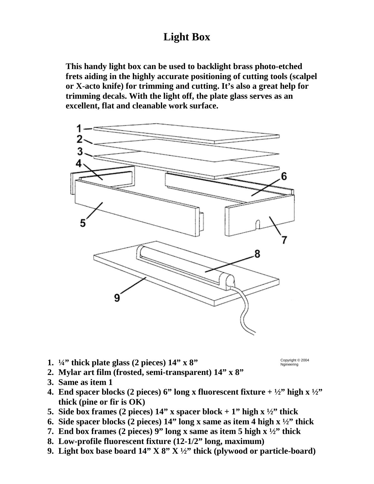## **Light Box**

**This handy light box can be used to backlight brass photo-etched frets aiding in the highly accurate positioning of cutting tools (scalpel or X-acto knife) for trimming and cutting. It's also a great help for trimming decals. With the light off, the plate glass serves as an excellent, flat and cleanable work surface.** 



**1. ¼" thick plate glass (2 pieces) 14" x 8"** 

Copyright © 2004 Ngineering

- **2. Mylar art film (frosted, semi-transparent) 14" x 8"**
- **3. Same as item 1**
- **4. End spacer blocks (2 pieces) 6" long x fluorescent fixture**  $+ \frac{1}{2}$ **" high x**  $\frac{1}{2}$ **" thick (pine or fir is OK)**
- **5.** Side box frames (2 pieces)  $14$ " x spacer block + 1" high x  $\frac{1}{2}$ " thick
- **6. Side spacer blocks (2 pieces) 14" long x same as item 4 high x ½" thick**
- **7. End box frames (2 pieces) 9" long x same as item 5 high x ½" thick**
- **8. Low-profile fluorescent fixture (12-1/2" long, maximum)**
- **9. Light box base board 14" X 8" X ½" thick (plywood or particle-board)**